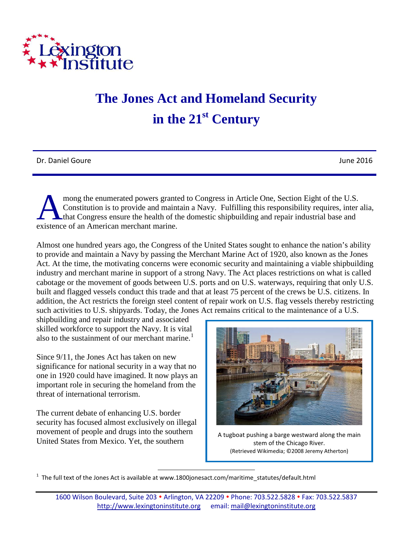

## **The Jones Act and Homeland Security in the 21st Century**

Dr. Daniel Goure June 2016

mong the enumerated powers granted to Congress in Article One, Section Eight of the U.S. Constitution is to provide and maintain a Navy. Fulfilling this responsibility requires, inter alia, that Congress ensure the health of the domestic shipbuilding and repair industrial base and mong the enumerated powers grante<br>Constitution is to provide and maint<br>that Congress ensure the health of the<br>existence of an American merchant marine.

Almost one hundred years ago, the Congress of the United States sought to enhance the nation's ability to provide and maintain a Navy by passing the Merchant Marine Act of 1920, also known as the Jones Act. At the time, the motivating concerns were economic security and maintaining a viable shipbuilding industry and merchant marine in support of a strong Navy. The Act places restrictions on what is called cabotage or the movement of goods between U.S. ports and on U.S. waterways, requiring that only U.S. built and flagged vessels conduct this trade and that at least 75 percent of the crews be U.S. citizens. In addition, the Act restricts the foreign steel content of repair work on U.S. flag vessels thereby restricting such activities to U.S. shipyards. Today, the Jones Act remains critical to the maintenance of a U.S.

shipbuilding and repair industry and associated skilled workforce to support the Navy. It is vital also to the sustainment of our merchant marine.<sup>[1](#page-0-0)</sup>

Since 9/11, the Jones Act has taken on new significance for national security in a way that no one in 1920 could have imagined. It now plays an important role in securing the homeland from the threat of international terrorism.

The current debate of enhancing U.S. border security has focused almost exclusively on illegal movement of people and drugs into the southern United States from Mexico. Yet, the southern



A tugboat pushing a barge westward along the main stem of the Chicago River. (Retrieved Wikimedia; ©2008 Jeremy Atherton)

<span id="page-0-0"></span>1 The full text of the Jones Act is available at www.1800jonesact.com/maritime\_statutes/default.html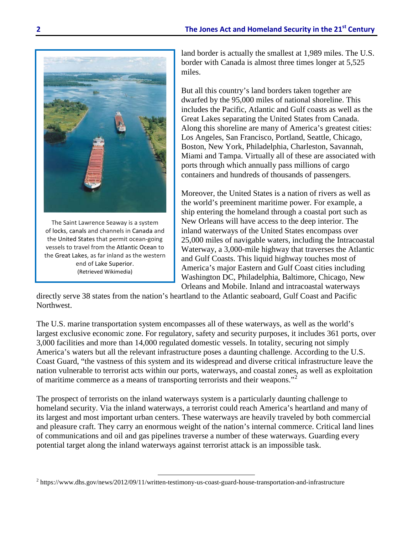

The Saint Lawrence Seaway is a system of locks, canals and channels in Canada and the United States that permit ocean-going vessels to travel from the Atlantic Ocean to the Great Lakes, as far inland as the western end of Lake Superior. (Retrieved Wikimedia)

land border is actually the smallest at 1,989 miles. The U.S. border with Canada is almost three times longer at 5,525 miles.

But all this country's land borders taken together are dwarfed by the 95,000 miles of national shoreline. This includes the Pacific, Atlantic and Gulf coasts as well as the Great Lakes separating the United States from Canada. Along this shoreline are many of America's greatest cities: Los Angeles, San Francisco, Portland, Seattle, Chicago, Boston, New York, Philadelphia, Charleston, Savannah, Miami and Tampa. Virtually all of these are associated with ports through which annually pass millions of cargo containers and hundreds of thousands of passengers.

Moreover, the United States is a nation of rivers as well as the world's preeminent maritime power. For example, a ship entering the homeland through a coastal port such as New Orleans will have access to the deep interior. The inland waterways of the United States encompass over 25,000 miles of navigable waters, including the Intracoastal Waterway, a 3,000-mile highway that traverses the Atlantic and Gulf Coasts. This liquid highway touches most of America's major Eastern and Gulf Coast cities including Washington DC, Philadelphia, Baltimore, Chicago, New Orleans and Mobile. Inland and intracoastal waterways

directly serve 38 states from the nation's heartland to the Atlantic seaboard, Gulf Coast and Pacific Northwest.

The U.S. marine transportation system encompasses all of these waterways, as well as the world's largest exclusive economic zone. For regulatory, safety and security purposes, it includes 361 ports, over 3,000 facilities and more than 14,000 regulated domestic vessels. In totality, securing not simply America's waters but all the relevant infrastructure poses a daunting challenge. According to the U.S. Coast Guard, "the vastness of this system and its widespread and diverse critical infrastructure leave the nation vulnerable to terrorist acts within our ports, waterways, and coastal zones, as well as exploitation of maritime commerce as a means of transporting terrorists and their weapons."[2](#page-1-0)

The prospect of terrorists on the inland waterways system is a particularly daunting challenge to homeland security. Via the inland waterways, a terrorist could reach America's heartland and many of its largest and most important urban centers. These waterways are heavily traveled by both commercial and pleasure craft. They carry an enormous weight of the nation's internal commerce. Critical land lines of communications and oil and gas pipelines traverse a number of these waterways. Guarding every potential target along the inland waterways against terrorist attack is an impossible task.

 $\overline{a}$ 

<span id="page-1-0"></span><sup>2</sup> https://www.dhs.gov/news/2012/09/11/written-testimony-us-coast-guard-house-transportation-and-infrastructure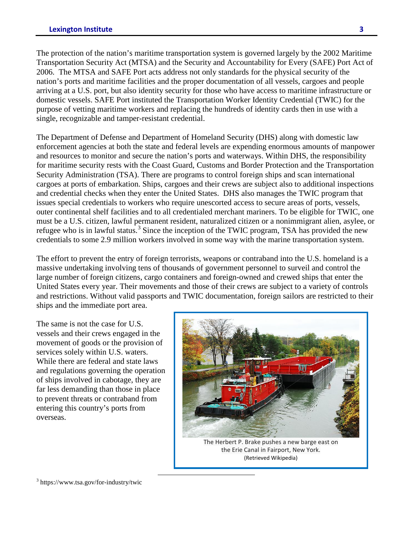The protection of the nation's maritime transportation system is governed largely by the 2002 Maritime Transportation Security Act (MTSA) and the Security and Accountability for Every (SAFE) Port Act of 2006. The MTSA and SAFE Port acts address not only standards for the physical security of the nation's ports and maritime facilities and the proper documentation of all vessels, cargoes and people arriving at a U.S. port, but also identity security for those who have access to maritime infrastructure or domestic vessels. SAFE Port instituted the Transportation Worker Identity Credential (TWIC) for the purpose of vetting maritime workers and replacing the hundreds of identity cards then in use with a single, recognizable and tamper-resistant credential.

The Department of Defense and Department of Homeland Security (DHS) along with domestic law enforcement agencies at both the state and federal levels are expending enormous amounts of manpower and resources to monitor and secure the nation's ports and waterways. Within DHS, the responsibility for maritime security rests with the Coast Guard, Customs and Border Protection and the Transportation Security Administration (TSA). There are programs to control foreign ships and scan international cargoes at ports of embarkation. Ships, cargoes and their crews are subject also to additional inspections and credential checks when they enter the United States. DHS also manages the TWIC program that issues special credentials to workers who require unescorted access to secure areas of ports, vessels, outer continental shelf facilities and to all credentialed merchant mariners. To be eligible for TWIC, one must be a U.S. citizen, lawful permanent resident, naturalized citizen or a nonimmigrant alien, asylee, or refugee who is in lawful status.<sup>[3](#page-2-0)</sup> Since the inception of the TWIC program, TSA has provided the new credentials to some 2.9 million workers involved in some way with the marine transportation system.

The effort to prevent the entry of foreign terrorists, weapons or contraband into the U.S. homeland is a massive undertaking involving tens of thousands of government personnel to surveil and control the large number of foreign citizens, cargo containers and foreign-owned and crewed ships that enter the United States every year. Their movements and those of their crews are subject to a variety of controls and restrictions. Without valid passports and TWIC documentation, foreign sailors are restricted to their ships and the immediate port area.

The same is not the case for U.S. vessels and their crews engaged in the movement of goods or the provision of services solely within U.S. waters. While there are federal and state laws and regulations governing the operation of ships involved in cabotage, they are far less demanding than those in place to prevent threats or contraband from entering this country's ports from overseas.



the Erie Canal in Fairport, New York. (Retrieved Wikipedia)

<span id="page-2-0"></span><sup>3</sup> https://www.tsa.gov/for-industry/twic

 $\overline{a}$